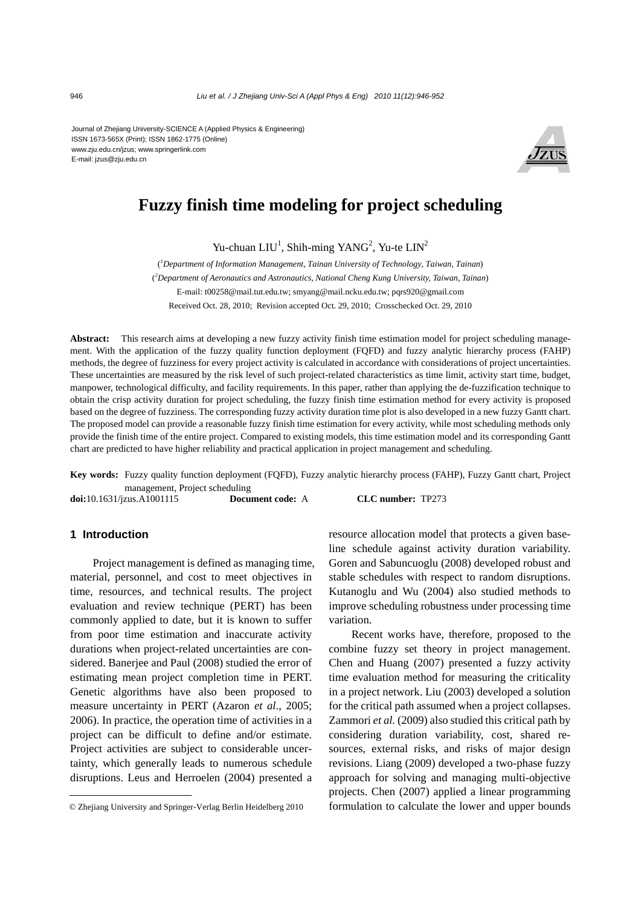Journal of Zhejiang University-SCIENCE A (Applied Physics & Engineering) ISSN 1673-565X (Print); ISSN 1862-1775 (Online) www.zju.edu.cn/jzus; www.springerlink.com E-mail: jzus@zju.edu.cn



# **Fuzzy finish time modeling for project scheduling**

Yu-chuan  $LIU<sup>1</sup>$ , Shih-ming YANG<sup>2</sup>, Yu-te  $LIN<sup>2</sup>$ 

( *1 Department of Information Management, Tainan University of Technology, Taiwan, Tainan*) ( *2 Department of Aeronautics and Astronautics, National Cheng Kung University, Taiwan, Tainan*) E-mail: t00258@mail.tut.edu.tw; smyang@mail.ncku.edu.tw; pqrs920@gmail.com Received Oct. 28, 2010; Revision accepted Oct. 29, 2010; Crosschecked Oct. 29, 2010

**Abstract:** This research aims at developing a new fuzzy activity finish time estimation model for project scheduling management. With the application of the fuzzy quality function deployment (FQFD) and fuzzy analytic hierarchy process (FAHP) methods, the degree of fuzziness for every project activity is calculated in accordance with considerations of project uncertainties. These uncertainties are measured by the risk level of such project-related characteristics as time limit, activity start time, budget, manpower, technological difficulty, and facility requirements. In this paper, rather than applying the de-fuzzification technique to obtain the crisp activity duration for project scheduling, the fuzzy finish time estimation method for every activity is proposed based on the degree of fuzziness. The corresponding fuzzy activity duration time plot is also developed in a new fuzzy Gantt chart. The proposed model can provide a reasonable fuzzy finish time estimation for every activity, while most scheduling methods only provide the finish time of the entire project. Compared to existing models, this time estimation model and its corresponding Gantt chart are predicted to have higher reliability and practical application in project management and scheduling.

**Key words:** Fuzzy quality function deployment (FQFD), Fuzzy analytic hierarchy process (FAHP), Fuzzy Gantt chart, Project management, Project scheduling

**doi:**10.1631/jzus.A1001115 **Document code:** A **CLC number:** TP273

#### **1 Introduction**

Project management is defined as managing time, material, personnel, and cost to meet objectives in time, resources, and technical results. The project evaluation and review technique (PERT) has been commonly applied to date, but it is known to suffer from poor time estimation and inaccurate activity durations when project-related uncertainties are considered. Banerjee and Paul (2008) studied the error of estimating mean project completion time in PERT. Genetic algorithms have also been proposed to measure uncertainty in PERT (Azaron *et al*., 2005; 2006). In practice, the operation time of activities in a project can be difficult to define and/or estimate. Project activities are subject to considerable uncertainty, which generally leads to numerous schedule disruptions. Leus and Herroelen (2004) presented a

resource allocation model that protects a given baseline schedule against activity duration variability. Goren and Sabuncuoglu (2008) developed robust and stable schedules with respect to random disruptions. Kutanoglu and Wu (2004) also studied methods to improve scheduling robustness under processing time variation.

Recent works have, therefore, proposed to the combine fuzzy set theory in project management. Chen and Huang (2007) presented a fuzzy activity time evaluation method for measuring the criticality in a project network. Liu (2003) developed a solution for the critical path assumed when a project collapses. Zammori *et al.* (2009) also studied this critical path by considering duration variability, cost, shared resources, external risks, and risks of major design revisions. Liang (2009) developed a two-phase fuzzy approach for solving and managing multi-objective projects. Chen (2007) applied a linear programming formulation to calculate the lower and upper bounds

<sup>©</sup> Zhejiang University and Springer-Verlag Berlin Heidelberg 2010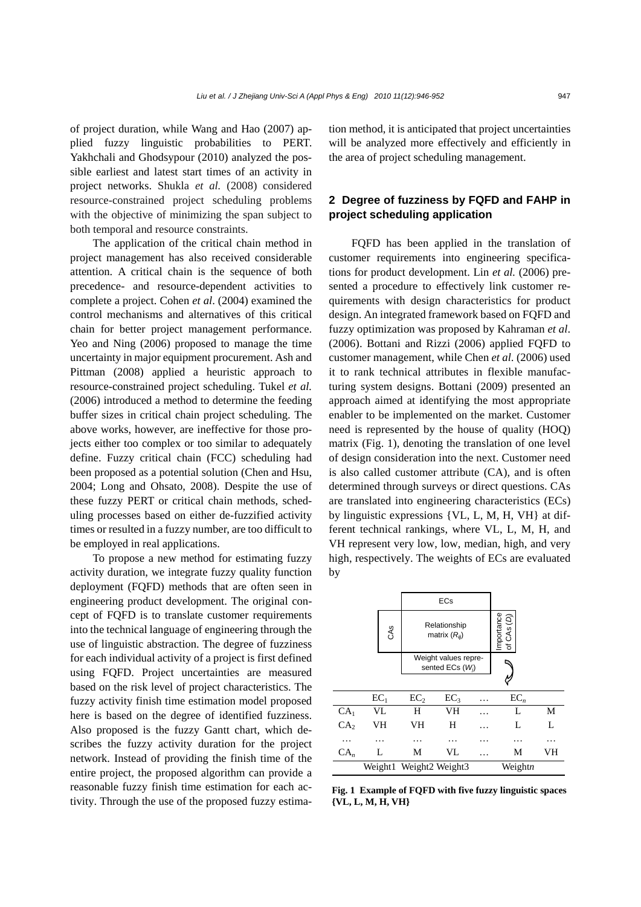of project duration, while Wang and Hao (2007) applied fuzzy linguistic probabilities to PERT. Yakhchali and Ghodsypour (2010) analyzed the possible earliest and latest start times of an activity in project networks. Shukla *et al.* (2008) considered resource-constrained project scheduling problems with the objective of minimizing the span subject to both temporal and resource constraints.

The application of the critical chain method in project management has also received considerable attention. A critical chain is the sequence of both precedence- and resource-dependent activities to complete a project. Cohen *et al*. (2004) examined the control mechanisms and alternatives of this critical chain for better project management performance. Yeo and Ning (2006) proposed to manage the time uncertainty in major equipment procurement. Ash and Pittman (2008) applied a heuristic approach to resource-constrained project scheduling. Tukel *et al.* (2006) introduced a method to determine the feeding buffer sizes in critical chain project scheduling. The above works, however, are ineffective for those projects either too complex or too similar to adequately define. Fuzzy critical chain (FCC) scheduling had been proposed as a potential solution (Chen and Hsu, 2004; Long and Ohsato, 2008). Despite the use of these fuzzy PERT or critical chain methods, scheduling processes based on either de-fuzzified activity times or resulted in a fuzzy number, are too difficult to be employed in real applications.

To propose a new method for estimating fuzzy activity duration, we integrate fuzzy quality function deployment (FQFD) methods that are often seen in engineering product development. The original concept of FQFD is to translate customer requirements into the technical language of engineering through the use of linguistic abstraction. The degree of fuzziness for each individual activity of a project is first defined using FQFD. Project uncertainties are measured based on the risk level of project characteristics. The fuzzy activity finish time estimation model proposed here is based on the degree of identified fuzziness. Also proposed is the fuzzy Gantt chart, which describes the fuzzy activity duration for the project network. Instead of providing the finish time of the entire project, the proposed algorithm can provide a reasonable fuzzy finish time estimation for each activity. Through the use of the proposed fuzzy estimation method, it is anticipated that project uncertainties will be analyzed more effectively and efficiently in the area of project scheduling management.

## **2 Degree of fuzziness by FQFD and FAHP in project scheduling application**

FQFD has been applied in the translation of customer requirements into engineering specifications for product development. Lin *et al.* (2006) presented a procedure to effectively link customer requirements with design characteristics for product design. An integrated framework based on FQFD and fuzzy optimization was proposed by Kahraman *et al*. (2006). Bottani and Rizzi (2006) applied FQFD to customer management, while Chen *et al.* (2006) used it to rank technical attributes in flexible manufacturing system designs. Bottani (2009) presented an approach aimed at identifying the most appropriate enabler to be implemented on the market. Customer need is represented by the house of quality (HOQ) matrix (Fig. 1), denoting the translation of one level of design consideration into the next. Customer need is also called customer attribute (CA), and is often determined through surveys or direct questions. CAs are translated into engineering characteristics (ECs) by linguistic expressions {VL, L, M, H, VH} at different technical rankings, where VL, L, M, H, and VH represent very low, low, median, high, and very high, respectively. The weights of ECs are evaluated by



**Fig. 1 Example of FQFD with five fuzzy linguistic spaces {VL, L, M, H, VH}**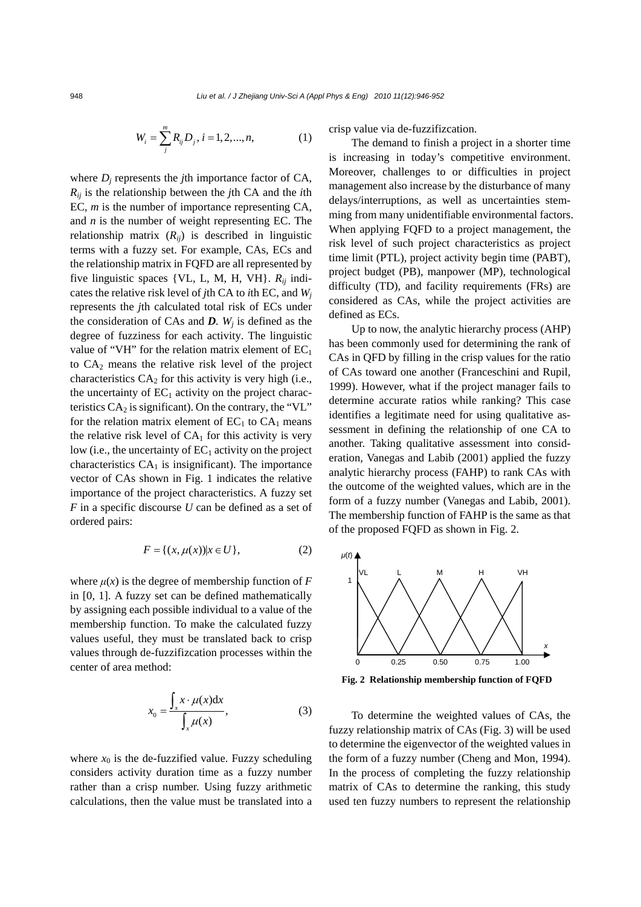$$
W_i = \sum_{j}^{m} R_{ij} D_j, i = 1, 2, ..., n,
$$
 (1)

where  $D_i$  represents the *j*th importance factor of CA, *Rij* is the relationship between the *j*th CA and the *i*th EC, *m* is the number of importance representing CA, and *n* is the number of weight representing EC. The relationship matrix  $(R_{ij})$  is described in linguistic terms with a fuzzy set. For example, CAs, ECs and the relationship matrix in FQFD are all represented by five linguistic spaces {VL, L, M, H, VH}. *Rij* indicates the relative risk level of *j*th CA to *i*th EC, and *Wj* represents the *j*th calculated total risk of ECs under the consideration of CAs and  $D$ *.*  $W_i$  is defined as the degree of fuzziness for each activity. The linguistic value of "VH" for the relation matrix element of  $EC_1$ to  $CA<sub>2</sub>$  means the relative risk level of the project characteristics  $CA<sub>2</sub>$  for this activity is very high (i.e., the uncertainty of  $EC_1$  activity on the project characteristics  $CA<sub>2</sub>$  is significant). On the contrary, the "VL" for the relation matrix element of  $EC_1$  to  $CA_1$  means the relative risk level of  $CA<sub>1</sub>$  for this activity is very low (i.e., the uncertainty of  $EC_1$  activity on the project characteristics  $CA<sub>1</sub>$  is insignificant). The importance vector of CAs shown in Fig. 1 indicates the relative importance of the project characteristics. A fuzzy set *F* in a specific discourse *U* can be defined as a set of ordered pairs:

$$
F = \{(x, \mu(x)) | x \in U\},\tag{2}
$$

where  $\mu(x)$  is the degree of membership function of  $F$ in [0, 1]. A fuzzy set can be defined mathematically by assigning each possible individual to a value of the membership function. To make the calculated fuzzy values useful, they must be translated back to crisp values through de-fuzzifizcation processes within the center of area method:

$$
x_0 = \frac{\int_x x \cdot \mu(x) dx}{\int_x \mu(x)},
$$
 (3)

where  $x_0$  is the de-fuzzified value. Fuzzy scheduling considers activity duration time as a fuzzy number rather than a crisp number. Using fuzzy arithmetic calculations, then the value must be translated into a crisp value via de-fuzzifizcation.

The demand to finish a project in a shorter time is increasing in today's competitive environment. Moreover, challenges to or difficulties in project management also increase by the disturbance of many delays/interruptions, as well as uncertainties stemming from many unidentifiable environmental factors. When applying FQFD to a project management, the risk level of such project characteristics as project time limit (PTL), project activity begin time (PABT), project budget (PB), manpower (MP), technological difficulty (TD), and facility requirements (FRs) are considered as CAs, while the project activities are defined as ECs.

Up to now, the analytic hierarchy process (AHP) has been commonly used for determining the rank of CAs in QFD by filling in the crisp values for the ratio of CAs toward one another (Franceschini and Rupil, 1999). However, what if the project manager fails to determine accurate ratios while ranking? This case identifies a legitimate need for using qualitative assessment in defining the relationship of one CA to another. Taking qualitative assessment into consideration, Vanegas and Labib (2001) applied the fuzzy analytic hierarchy process (FAHP) to rank CAs with the outcome of the weighted values, which are in the form of a fuzzy number (Vanegas and Labib, 2001). The membership function of FAHP is the same as that of the proposed FQFD as shown in Fig. 2.



**Fig. 2 Relationship membership function of FQFD** 

To determine the weighted values of CAs, the fuzzy relationship matrix of CAs (Fig. 3) will be used to determine the eigenvector of the weighted values in the form of a fuzzy number (Cheng and Mon, 1994). In the process of completing the fuzzy relationship matrix of CAs to determine the ranking, this study used ten fuzzy numbers to represent the relationship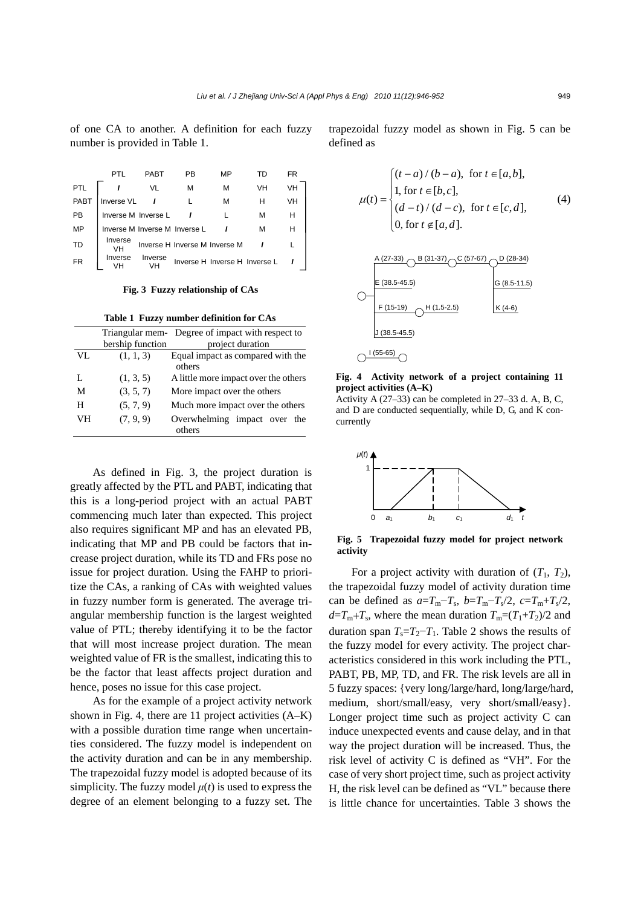of one CA to another. A definition for each fuzzy number is provided in Table 1.

|      |                     | PABT                          | РB                            | MP                            |    | FR |
|------|---------------------|-------------------------------|-------------------------------|-------------------------------|----|----|
| PTL  |                     | VL                            | м                             | м                             | VH | VH |
| PABT | Inverse VL          |                               |                               | м                             | н  | VH |
| РB   | Inverse M Inverse L |                               |                               |                               | м  | н  |
| MP   |                     | Inverse M Inverse M Inverse L |                               |                               | м  |    |
| TD   | Inverse             |                               | Inverse H Inverse M Inverse M |                               |    |    |
| FR   | Inverse             | Inverse                       |                               | Inverse H Inverse H Inverse L |    |    |

**Fig. 3 Fuzzy relationship of CAs** 

**Table 1 Fuzzy number definition for CAs**

|    |                  | Triangular mem-Degree of impact with respect to |
|----|------------------|-------------------------------------------------|
|    | bership function | project duration                                |
| VL | (1, 1, 3)        | Equal impact as compared with the               |
|    |                  | others                                          |
| L  | (1, 3, 5)        | A little more impact over the others            |
| М  | (3, 5, 7)        | More impact over the others                     |
| н  | (5, 7, 9)        | Much more impact over the others                |
| VН | (7, 9, 9)        | Overwhelming impact over the<br>others          |

As defined in Fig. 3, the project duration is greatly affected by the PTL and PABT, indicating that this is a long-period project with an actual PABT commencing much later than expected. This project also requires significant MP and has an elevated PB, indicating that MP and PB could be factors that increase project duration, while its TD and FRs pose no issue for project duration. Using the FAHP to prioritize the CAs, a ranking of CAs with weighted values in fuzzy number form is generated. The average triangular membership function is the largest weighted value of PTL; thereby identifying it to be the factor that will most increase project duration. The mean weighted value of FR is the smallest, indicating this to be the factor that least affects project duration and hence, poses no issue for this case project.

As for the example of a project activity network shown in Fig. 4, there are 11 project activities (A–K) with a possible duration time range when uncertainties considered. The fuzzy model is independent on the activity duration and can be in any membership. The trapezoidal fuzzy model is adopted because of its simplicity. The fuzzy model  $\mu(t)$  is used to express the degree of an element belonging to a fuzzy set. The

trapezoidal fuzzy model as shown in Fig. 5 can be defined as

$$
\mu(t) = \begin{cases}\n(t-a) / (b-a), & \text{for } t \in [a,b], \\
1, & \text{for } t \in [b,c], \\
(d-t) / (d-c), & \text{for } t \in [c,d], \\
0, & \text{for } t \notin [a,d].\n\end{cases}
$$
\n(4)





Activity A (27–33) can be completed in 27–33 d. A, B, C, and D are conducted sequentially, while D, G, and K concurrently



**Fig. 5 Trapezoidal fuzzy model for project network activity** 

For a project activity with duration of  $(T_1, T_2)$ , the trapezoidal fuzzy model of activity duration time can be defined as  $a=T_m-T_s$ ,  $b=T_m-T_s/2$ ,  $c=T_m+T_s/2$ ,  $d=T_m+T_s$ , where the mean duration  $T_m=(T_1+T_2)/2$  and duration span  $T_s = T_2 - T_1$ . Table 2 shows the results of the fuzzy model for every activity. The project characteristics considered in this work including the PTL, PABT, PB, MP, TD, and FR. The risk levels are all in 5 fuzzy spaces: {very long/large/hard, long/large/hard, medium, short/small/easy, very short/small/easy}. Longer project time such as project activity C can induce unexpected events and cause delay, and in that way the project duration will be increased. Thus, the risk level of activity C is defined as "VH". For the case of very short project time, such as project activity H, the risk level can be defined as "VL" because there is little chance for uncertainties. Table 3 shows the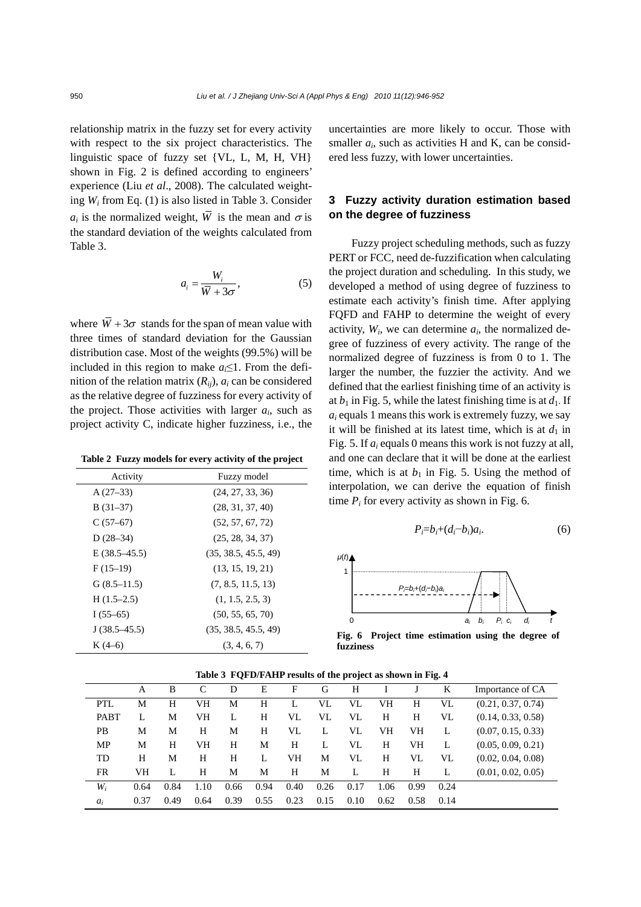relationship matrix in the fuzzy set for every activity with respect to the six project characteristics. The linguistic space of fuzzy set {VL, L, M, H, VH} shown in Fig. 2 is defined according to engineers' experience (Liu *et al*., 2008). The calculated weighting *Wi* from Eq. (1) is also listed in Table 3. Consider  $a_i$  is the normalized weight,  $\overline{W}$  is the mean and  $\sigma$  is the standard deviation of the weights calculated from Table 3.

$$
a_i = \frac{W_i}{\overline{W} + 3\sigma},\tag{5}
$$

where  $\overline{W}$  + 3 $\sigma$  stands for the span of mean value with three times of standard deviation for the Gaussian distribution case. Most of the weights (99.5%) will be included in this region to make  $a_i \leq 1$ . From the definition of the relation matrix  $(R_{ij})$ ,  $a_i$  can be considered as the relative degree of fuzziness for every activity of the project. Those activities with larger  $a_i$ , such as project activity C, indicate higher fuzziness, i.e., the

**Table 2 Fuzzy models for every activity of the project**

| Activity         | Fuzzy model          |
|------------------|----------------------|
| $A(27-33)$       | (24, 27, 33, 36)     |
| $B(31-37)$       | (28, 31, 37, 40)     |
| $C(57-67)$       | (52, 57, 67, 72)     |
| $D(28-34)$       | (25, 28, 34, 37)     |
| $E(38.5 - 45.5)$ | (35, 38.5, 45.5, 49) |
| $F(15-19)$       | (13, 15, 19, 21)     |
| G(8.5–11.5)      | (7, 8.5, 11.5, 13)   |
| $H(1.5-2.5)$     | (1, 1.5, 2.5, 3)     |
| I $(55-65)$      | (50, 55, 65, 70)     |
| $J(38.5-45.5)$   | (35, 38.5, 45.5, 49) |
| $K(4-6)$         | (3, 4, 6, 7)         |

uncertainties are more likely to occur. Those with smaller  $a_i$ , such as activities H and K, can be considered less fuzzy, with lower uncertainties.

## **3 Fuzzy activity duration estimation based on the degree of fuzziness**

Fuzzy project scheduling methods, such as fuzzy PERT or FCC, need de-fuzzification when calculating the project duration and scheduling. In this study, we developed a method of using degree of fuzziness to estimate each activity's finish time. After applying FQFD and FAHP to determine the weight of every activity,  $W_i$ , we can determine  $a_i$ , the normalized degree of fuzziness of every activity. The range of the normalized degree of fuzziness is from 0 to 1. The larger the number, the fuzzier the activity. And we defined that the earliest finishing time of an activity is at  $b_1$  in Fig. 5, while the latest finishing time is at  $d_1$ . If  $a_i$  equals 1 means this work is extremely fuzzy, we say it will be finished at its latest time, which is at  $d_1$  in Fig. 5. If *ai* equals 0 means this work is not fuzzy at all, and one can declare that it will be done at the earliest time, which is at  $b_1$  in Fig. 5. Using the method of interpolation, we can derive the equation of finish time  $P_i$  for every activity as shown in Fig. 6.

$$
P_i = b_i + (d_i - b_i)a_i.
$$
 (6)



**Fig. 6 Project time estimation using the degree of fuzziness** 

| There is a problem to the project to show in the $\mathbf{r}$ |      |      |      |      |      |      |      |      |      |      |      |                    |
|---------------------------------------------------------------|------|------|------|------|------|------|------|------|------|------|------|--------------------|
|                                                               | A    | B    |      | D    | Е    | F    | G    | Н    |      |      | K    | Importance of CA   |
| <b>PTL</b>                                                    | М    | H    | VH   | M    | H    |      | VL   | VL   | VH   | H    | VL   | (0.21, 0.37, 0.74) |
| PABT                                                          |      | М    | VH   | L    | Н    | VL   | VL   | VL   | Н    | Н    | VL   | (0.14, 0.33, 0.58) |
| PВ                                                            | М    | М    | H    | M    | Н    | VL   | L    | VL   | VH   | VH   |      | (0.07, 0.15, 0.33) |
| MP                                                            | М    | H    | VH   | Н    | М    | H    | L    | VI.  | Н    | VH   | L    | (0.05, 0.09, 0.21) |
| TD                                                            | Н    | М    | H    | H    | L    | VH   | М    | VI.  | H    | VL   | VL   | (0.02, 0.04, 0.08) |
| FR                                                            | VН   |      | H    | M    | М    | H    | М    | L    | Н    | Н    |      | (0.01, 0.02, 0.05) |
| $W_i$                                                         | 0.64 | 0.84 | 1.10 | 0.66 | 0.94 | 0.40 | 0.26 | 0.17 | 1.06 | 0.99 | 0.24 |                    |
| $a_i$                                                         | 0.37 | 0.49 | 0.64 | 0.39 | 0.55 | 0.23 | 0.15 | 0.10 | 0.62 | 0.58 | 0.14 |                    |

Table 3 FOFD/FAHP results of the project as shown in Fig. 4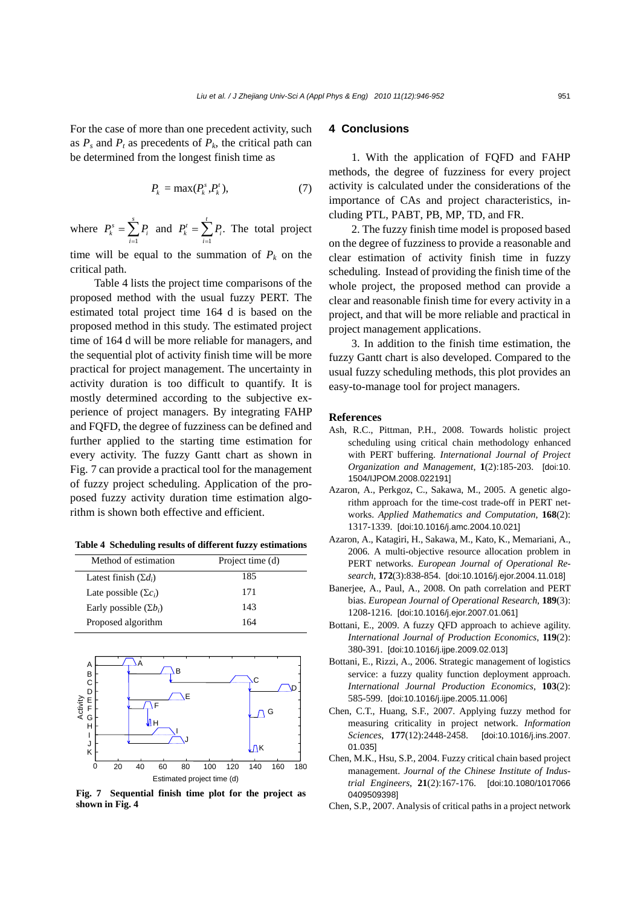For the case of more than one precedent activity, such as  $P_s$  and  $P_t$  as precedents of  $P_k$ , the critical path can be determined from the longest finish time as

$$
P_k = \max(P_k^s, P_k^t),\tag{7}
$$

where  $P_k^s = \sum_{i=1}^s P_i$  $P_{k}^{s} = \sum P_{i}$  $=\sum_{i=1}^{s} P_i$  and  $P_k^t = \sum_{i=1}^{t} P_i$ .  $P_{k}^{t} = \sum_{i} P_{i}$  $=\sum_{i=1}^{n} P_i$ . The total project

time will be equal to the summation of  $P_k$  on the critical path.

Table 4 lists the project time comparisons of the proposed method with the usual fuzzy PERT. The estimated total project time 164 d is based on the proposed method in this study. The estimated project time of 164 d will be more reliable for managers, and the sequential plot of activity finish time will be more practical for project management. The uncertainty in activity duration is too difficult to quantify. It is mostly determined according to the subjective experience of project managers. By integrating FAHP and FQFD, the degree of fuzziness can be defined and further applied to the starting time estimation for every activity. The fuzzy Gantt chart as shown in Fig. 7 can provide a practical tool for the management of fuzzy project scheduling. Application of the proposed fuzzy activity duration time estimation algorithm is shown both effective and efficient.

**Table 4 Scheduling results of different fuzzy estimations**

| Method of estimation          | Project time (d) |
|-------------------------------|------------------|
| Latest finish $(\Sigma d_i)$  | 185              |
| Late possible $(\Sigma c_i)$  | 171              |
| Early possible $(\Sigma b_i)$ | 143              |
| Proposed algorithm            | 164              |



**Fig. 7 Sequential finish time plot for the project as shown in Fig. 4** 

#### **4 Conclusions**

1. With the application of FQFD and FAHP methods, the degree of fuzziness for every project activity is calculated under the considerations of the importance of CAs and project characteristics, including PTL, PABT, PB, MP, TD, and FR.

2. The fuzzy finish time model is proposed based on the degree of fuzziness to provide a reasonable and clear estimation of activity finish time in fuzzy scheduling. Instead of providing the finish time of the whole project, the proposed method can provide a clear and reasonable finish time for every activity in a project, and that will be more reliable and practical in project management applications.

3. In addition to the finish time estimation, the fuzzy Gantt chart is also developed. Compared to the usual fuzzy scheduling methods, this plot provides an easy-to-manage tool for project managers.

#### **References**

- Ash, R.C., Pittman, P.H., 2008. Towards holistic project scheduling using critical chain methodology enhanced with PERT buffering. *International Journal of Project Organization and Management*, **1**(2):185-203. [doi:10. 1504/IJPOM.2008.022191]
- Azaron, A., Perkgoz, C., Sakawa, M., 2005. A genetic algorithm approach for the time-cost trade-off in PERT networks. *Applied Mathematics and Computation*, **168**(2): 1317-1339. [doi:10.1016/j.amc.2004.10.021]
- Azaron, A., Katagiri, H., Sakawa, M., Kato, K., Memariani, A., 2006. A multi-objective resource allocation problem in PERT networks. *European Journal of Operational Research*, **172**(3):838-854. [doi:10.1016/j.ejor.2004.11.018]
- Banerjee, A., Paul, A., 2008. On path correlation and PERT bias. *European Journal of Operational Research*, **189**(3): 1208-1216. [doi:10.1016/j.ejor.2007.01.061]
- Bottani, E., 2009. A fuzzy QFD approach to achieve agility. *International Journal of Production Economics*, **119**(2): 380-391. [doi:10.1016/j.ijpe.2009.02.013]
- Bottani, E., Rizzi, A., 2006. Strategic management of logistics service: a fuzzy quality function deployment approach. *International Journal Production Economics*, **103**(2): 585-599. [doi:10.1016/j.ijpe.2005.11.006]
- Chen, C.T., Huang, S.F., 2007. Applying fuzzy method for measuring criticality in project network. *Information Sciences*, **177**(12):2448-2458. [doi:10.1016/j.ins.2007. 01.035]
- Chen, M.K., Hsu, S.P., 2004. Fuzzy critical chain based project management. *Journal of the Chinese Institute of Industrial Engineers*, **21**(2):167-176. [doi:10.1080/1017066 0409509398]
- Chen, S.P., 2007. Analysis of critical paths in a project network